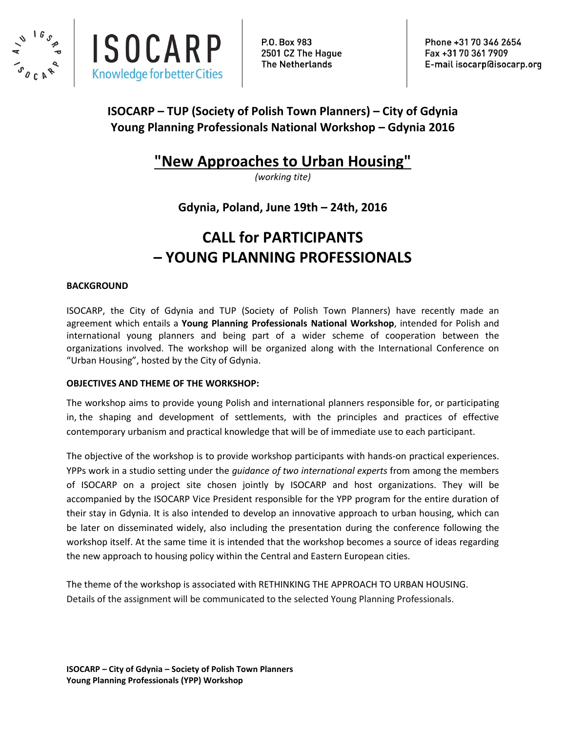



P.O. Box 983 2501 CZ The Haque **The Netherlands** 

Phone +31 70 346 2654 Fax +31 70 361 7909 E-mail isocarp@isocarp.org

### **ISOCARP – TUP (Society of Polish Town Planners) – City of Gdynia Young Planning Professionals National Workshop – Gdynia 2016**

## **"New Approaches to Urban Housing"**

*(working tite)*

**Gdynia, Poland, June 19th – 24th, 2016**

# **CALL for PARTICIPANTS – YOUNG PLANNING PROFESSIONALS**

#### **BACKGROUND**

ISOCARP, the City of Gdynia and TUP (Society of Polish Town Planners) have recently made an agreement which entails a **Young Planning Professionals National Workshop**, intended for Polish and international young planners and being part of a wider scheme of cooperation between the organizations involved. The workshop will be organized along with the International Conference on "Urban Housing", hosted by the City of Gdynia.

#### **OBJECTIVES AND THEME OF THE WORKSHOP:**

The workshop aims to provide young Polish and international planners responsible for, or participating in, the shaping and development of settlements, with the principles and practices of effective contemporary urbanism and practical knowledge that will be of immediate use to each participant.

The objective of the workshop is to provide workshop participants with hands-on practical experiences. YPPs work in a studio setting under the *guidance of two international experts* from among the members of ISOCARP on a project site chosen jointly by ISOCARP and host organizations. They will be accompanied by the ISOCARP Vice President responsible for the YPP program for the entire duration of their stay in Gdynia. It is also intended to develop an innovative approach to urban housing, which can be later on disseminated widely, also including the presentation during the conference following the workshop itself. At the same time it is intended that the workshop becomes a source of ideas regarding the new approach to housing policy within the Central and Eastern European cities.

The theme of the workshop is associated with RETHINKING THE APPROACH TO URBAN HOUSING. Details of the assignment will be communicated to the selected Young Planning Professionals.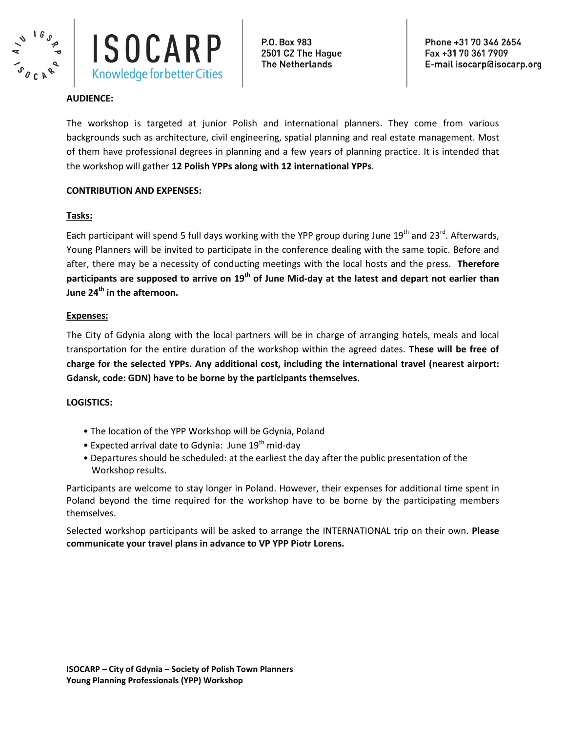



#### **AUDIENCE:**

The workshop is targeted at junior Polish and international planners. They come from various backgrounds such as architecture, civil engineering, spatial planning and real estate management. Most of them have professional degrees in planning and a few years of planning practice. It is intended that the workshop will gather **12 Polish YPPs along with 12 international YPPs**.

#### **CONTRIBUTION AND EXPENSES:**

#### **Tasks:**

Each participant will spend 5 full days working with the YPP group during June 19<sup>th</sup> and 23<sup>rd</sup>. Afterwards, Young Planners will be invited to participate in the conference dealing with the same topic. Before and after, there may be a necessity of conducting meetings with the local hosts and the press. **Therefore participants are supposed to arrive on 19th of June Mid-day at the latest and depart not earlier than June 24th in the afternoon.** 

#### **Expenses:**

The City of Gdynia along with the local partners will be in charge of arranging hotels, meals and local transportation for the entire duration of the workshop within the agreed dates. **These will be free of charge for the selected YPPs. Any additional cost, including the international travel (nearest airport: Gdansk, code: GDN) have to be borne by the participants themselves.** 

#### **LOGISTICS:**

- The location of the YPP Workshop will be Gdynia, Poland
- Expected arrival date to Gdynia: June  $19<sup>th</sup>$  mid-day
- Departures should be scheduled: at the earliest the day after the public presentation of the Workshop results.

Participants are welcome to stay longer in Poland. However, their expenses for additional time spent in Poland beyond the time required for the workshop have to be borne by the participating members themselves.

Selected workshop participants will be asked to arrange the INTERNATIONAL trip on their own. **Please communicate your travel plans in advance to VP YPP Piotr Lorens.**